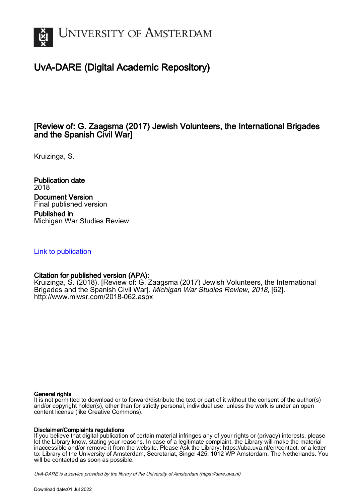

# UvA-DARE (Digital Academic Repository)

## [Review of: G. Zaagsma (2017) Jewish Volunteers, the International Brigades and the Spanish Civil War]

Kruizinga, S.

Publication date 2018 Document Version Final published version

Published in Michigan War Studies Review

### [Link to publication](https://dare.uva.nl/personal/pure/en/publications/review-of-g-zaagsma-2017-jewish-volunteers-the-international-brigades-and-the-spanish-civil-war(a4e50d7a-a985-492c-aa75-49e51e69d5bf).html)

### Citation for published version (APA):

Kruizinga, S. (2018). [Review of: G. Zaagsma (2017) Jewish Volunteers, the International Brigades and the Spanish Civil War]. Michigan War Studies Review, 2018, [62]. <http://www.miwsr.com/2018-062.aspx>

#### General rights

It is not permitted to download or to forward/distribute the text or part of it without the consent of the author(s) and/or copyright holder(s), other than for strictly personal, individual use, unless the work is under an open content license (like Creative Commons).

### Disclaimer/Complaints regulations

If you believe that digital publication of certain material infringes any of your rights or (privacy) interests, please let the Library know, stating your reasons. In case of a legitimate complaint, the Library will make the material inaccessible and/or remove it from the website. Please Ask the Library: https://uba.uva.nl/en/contact, or a letter to: Library of the University of Amsterdam, Secretariat, Singel 425, 1012 WP Amsterdam, The Netherlands. You will be contacted as soon as possible.

UvA-DARE is a service provided by the library of the University of Amsterdam (http*s*://dare.uva.nl)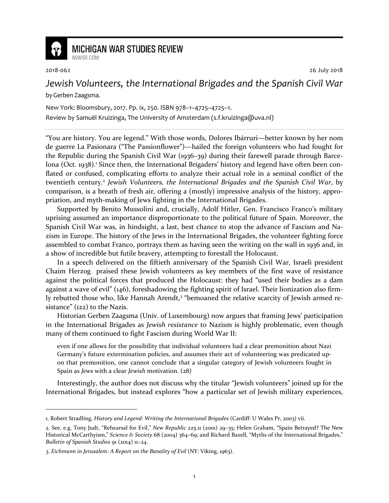

## **MICHIGAN WAR STUDIES REVIEW**

1

2018-062 26 July 2018

## *Jewish Volunteers, the International Brigades and the Spanish Civil War*

by Gerben Zaagsma.

MiWSR COM

New York: Bloomsbury, 2017. Pp. ix, 250. ISBN 978–1–4725–4725–1.

Review by Samuël Kruizinga, The University of Amsterdam (s.f.kruizinga@uva.nl)

"You are history. You are legend." With those words, Dolores Ibárruri—better known by her nom de guerre La Pasionara ("The Passionflower")—hailed the foreign volunteers who had fought for the Republic during the Spanish Civil War (1936–39) during their farewell parade through Barcelona (Oct. 1938).<sup>1</sup> Since then, the International Brigaders' history and legend have often been conflated or confused, complicating efforts to analyze their actual role in a seminal conflict of the twentieth century.<sup>2</sup> Jewish Volunteers, the International Brigades and the Spanish Civil War, by comparison, is a breath of fresh air, offering a (mostly) impressive analysis of the history, appropriation, and myth-making of Jews fighting in the International Brigades.

Supported by Benito Mussolini and, crucially, Adolf Hitler, Gen. Francisco Franco's military uprising assumed an importance disproportionate to the political future of Spain. Moreover, the Spanish Civil War was, in hindsight, a last, best chance to stop the advance of Fascism and Nazism in Europe. The history of the Jews in the International Brigades, the volunteer fighting force assembled to combat Franco, portrays them as having seen the writing on the wall in 1936 and, in a show of incredible but futile bravery, attempting to forestall the Holocaust.

In a speech delivered on the fiftieth anniversary of the Spanish Civil War, Israeli president Chaim Herzog praised these Jewish volunteers as key members of the first wave of resistance against the political forces that produced the Holocaust: they had "used their bodies as a dam against a wave of evil" (146), foreshadowing the fighting spirit of Israel. Their lionization also firmly rebutted those who, like Hannah Arendt,<sup>3</sup> "bemoaned the relative scarcity of Jewish armed resistance" (122) to the Nazis.

Historian Gerben Zaagsma (Univ. of Luxembourg) now argues that framing Jews' participation in the International Brigades as *Jewish resistance* to Nazism is highly problematic, even though many of them continued to fight Fascism during World War II:

even if one allows for the possibility that individual volunteers had a clear premonition about Nazi Germany's future extermination policies, and assumes their act of volunteering was predicated upon that premonition, one cannot conclude that a singular category of Jewish volunteers fought in Spain as *Jews* with a clear *Jewish* motivation. (28)

Interestingly, the author does not discuss why the titular "Jewish volunteers" joined up for the International Brigades, but instead explores "how a particular set of Jewish military experiences,

<sup>1.</sup> Robert Stradling, *History and Legend: Writing the International Brigades* (Cardiff: U Wales Pr, 2003) vii.

<sup>2.</sup> See, e.g. Tony Judt, "Rehearsal for Evil," *New Republic* 225.11 (2001) 29–35; Helen Graham, "Spain Betrayed? The New Historical McCarthyism," *Science & Society* 68 (2004) 364–69; and Richard Baxell, "Myths of the International Brigades," *Bulletin of Spanish Studies* 91 (2014) 11–24.

<sup>3.</sup> *Eichmann in Jerusalem: A Report on the Banality of Evil* (NY: Viking, 1963).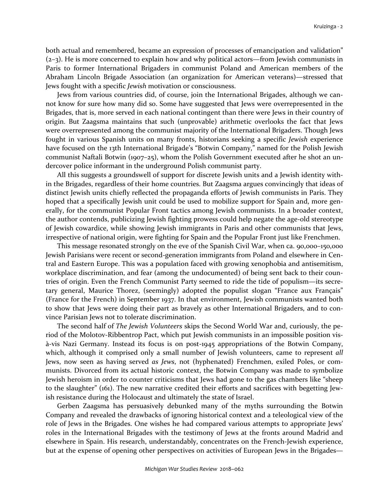both actual and remembered, became an expression of processes of emancipation and validation" (2–3). He is more concerned to explain how and why political actors—from Jewish communists in Paris to former International Brigaders in communist Poland and American members of the Abraham Lincoln Brigade Association (an organization for American veterans)—stressed that Jews fought with a specific *Jewish* motivation or consciousness.

Jews from various countries did, of course, join the International Brigades, although we cannot know for sure how many did so. Some have suggested that Jews were overrepresented in the Brigades, that is, more served in each national contingent than there were Jews in their country of origin. But Zaagsma maintains that such (unprovable) arithmetic overlooks the fact that Jews were overrepresented among the communist majority of the International Brigaders. Though Jews fought in various Spanish units on many fronts, historians seeking a specific *Jewish* experience have focused on the 13th International Brigade's "Botwin Company," named for the Polish Jewish communist Naftali Botwin (1907–25), whom the Polish Government executed after he shot an undercover police informant in the underground Polish communist party.

All this suggests a groundswell of support for discrete Jewish units and a Jewish identity within the Brigades, regardless of their home countries. But Zaagsma argues convincingly that ideas of distinct Jewish units chiefly reflected the propaganda efforts of Jewish communists in Paris. They hoped that a specifically Jewish unit could be used to mobilize support for Spain and, more generally, for the communist Popular Front tactics among Jewish communists. In a broader context, the author contends, publicizing Jewish fighting prowess could help negate the age-old stereotype of Jewish cowardice, while showing Jewish immigrants in Paris and other communists that Jews, irrespective of national origin, were fighting for Spain and the Popular Front just like Frenchmen.

This message resonated strongly on the eve of the Spanish Civil War, when ca. 90,000–150,000 Jewish Parisians were recent or second-generation immigrants from Poland and elsewhere in Central and Eastern Europe. This was a population faced with growing xenophobia and antisemitism, workplace discrimination, and fear (among the undocumented) of being sent back to their countries of origin. Even the French Communist Party seemed to ride the tide of populism—its secretary general, Maurice Thorez, (seemingly) adopted the populist slogan "France aux Français" (France for the French) in September 1937. In that environment, Jewish communists wanted both to show that Jews were doing their part as bravely as other International Brigaders, and to convince Parisian Jews not to tolerate discrimination.

The second half of *The Jewish Volunteers* skips the Second World War and, curiously, the period of the Molotov-Ribbentrop Pact, which put Jewish communists in an impossible position visà-vis Nazi Germany. Instead its focus is on post-1945 appropriations of the Botwin Company, which, although it comprised only a small number of Jewish volunteers, came to represent *all* Jews, now seen as having served *as Jews*, not (hyphenated) Frenchmen, exiled Poles, or communists. Divorced from its actual historic context, the Botwin Company was made to symbolize Jewish heroism in order to counter criticisms that Jews had gone to the gas chambers like "sheep to the slaughter" (161). The new narrative credited their efforts and sacrifices with begetting Jewish resistance during the Holocaust and ultimately the state of Israel.

Gerben Zaagsma has persuasively debunked many of the myths surrounding the Botwin Company and revealed the drawbacks of ignoring historical context and a teleological view of the role of Jews in the Brigades. One wishes he had compared various attempts to appropriate Jews' roles in the International Brigades with the testimony of Jews at the fronts around Madrid and elsewhere in Spain. His research, understandably, concentrates on the French-Jewish experience, but at the expense of opening other perspectives on activities of European Jews in the Brigades